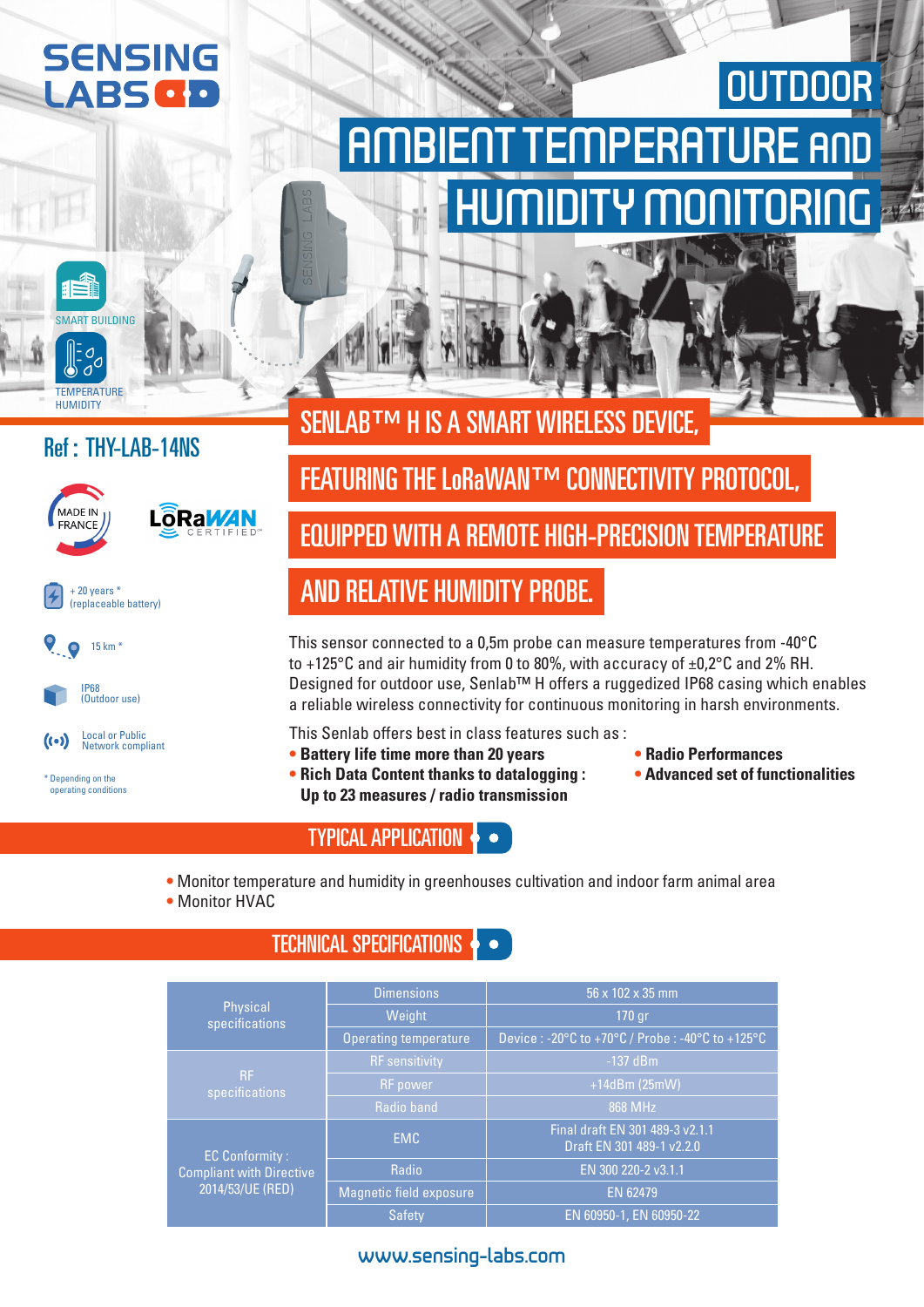# **SENSING** LABS<sup>O</sup>

# AMBIENT TEMPERATURE AND HUMIDITY MONITORING **OUTDOOR**

# SENLAB™ H IS A SMART WIRELESS DEVICE,

### Ref : THY-LAB-14NS

SMART BUILDING

**TEMPERATURE HUMIDITY** 









\* Depending on the operating conditions

# **FEATURING THE LORAWAN™ CONNECTIVITY PROTOCOL,**

## EQUIPPED WITH A REMOTE HIGH-PRECISION TEMPERATURE

## AND RELATIVE HUMIDITY PROBE.

This sensor connected to a 0,5m probe can measure temperatures from -40°C to +125 $\degree$ C and air humidity from 0 to 80%, with accuracy of  $\pm$ 0,2 $\degree$ C and 2% RH. Designed for outdoor use, Senlab™ H offers a ruggedized IP68 casing which enables a reliable wireless connectivity for continuous monitoring in harsh environments.

- This Senlab offers best in class features such as :
- **• Battery life time more than 20 years**
- **• Rich Data Content thanks to datalogging : Up to 23 measures / radio transmission**
- **• Radio Performances**
- **• Advanced set of functionalities**

#### TYPICAL APPLICATION

- **•** Monitor temperature and humidity in greenhouses cultivation and indoor farm animal area
- **•** Monitor HVAC

#### TECHNICAL SPECIFICATIONS  $\bullet \bullet$

|                                                                              | <b>Dimensions</b>            | 56 x 102 x 35 mm<br>$170$ gr                                                            |  |  |  |  |
|------------------------------------------------------------------------------|------------------------------|-----------------------------------------------------------------------------------------|--|--|--|--|
| Physical<br>specifications                                                   | Weight                       |                                                                                         |  |  |  |  |
|                                                                              | <b>Operating temperature</b> | Device: $-20^{\circ}$ C to $+70^{\circ}$ C / Probe: $-40^{\circ}$ C to $+125^{\circ}$ C |  |  |  |  |
| RF.<br>specifications                                                        | <b>RF</b> sensitivity        | $-137$ dBm                                                                              |  |  |  |  |
|                                                                              | RF power                     | $+14dBm(25mW)$                                                                          |  |  |  |  |
|                                                                              | Radio band                   | 868 MHz                                                                                 |  |  |  |  |
| <b>EC Conformity:</b><br><b>Compliant with Directive</b><br>2014/53/UE (RED) | EMC                          | Final draft EN 301 489-3 v2.1.1<br>Draft EN 301 489-1 v2.2.0                            |  |  |  |  |
|                                                                              | Radio                        | EN 300 220-2 v3.1.1                                                                     |  |  |  |  |
|                                                                              | Magnetic field exposure      | EN 62479                                                                                |  |  |  |  |
|                                                                              | <b>Safety</b>                | EN 60950-1, EN 60950-22                                                                 |  |  |  |  |

#### www.sensing-labs.com